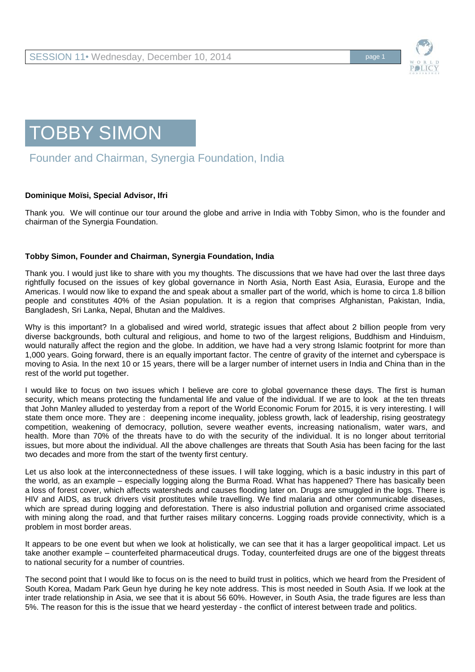

## TOBBY SIMON

## Founder and Chairman, Synergia Foundation, India

## **Dominique Moïsi, Special Advisor, Ifri**

Thank you. We will continue our tour around the globe and arrive in India with Tobby Simon, who is the founder and chairman of the Synergia Foundation.

## **Tobby Simon, Founder and Chairman, Synergia Foundation, India**

Thank you. I would just like to share with you my thoughts. The discussions that we have had over the last three days rightfully focused on the issues of key global governance in North Asia, North East Asia, Eurasia, Europe and the Americas. I would now like to expand the and speak about a smaller part of the world, which is home to circa 1.8 billion people and constitutes 40% of the Asian population. It is a region that comprises Afghanistan, Pakistan, India, Bangladesh, Sri Lanka, Nepal, Bhutan and the Maldives.

Why is this important? In a globalised and wired world, strategic issues that affect about 2 billion people from very diverse backgrounds, both cultural and religious, and home to two of the largest religions, Buddhism and Hinduism, would naturally affect the region and the globe. In addition, we have had a very strong Islamic footprint for more than 1,000 years. Going forward, there is an equally important factor. The centre of gravity of the internet and cyberspace is moving to Asia. In the next 10 or 15 years, there will be a larger number of internet users in India and China than in the rest of the world put together.

I would like to focus on two issues which I believe are core to global governance these days. The first is human security, which means protecting the fundamental life and value of the individual. If we are to look at the ten threats that John Manley alluded to yesterday from a report of the World Economic Forum for 2015, it is very interesting. I will state them once more. They are : deepening income inequality, jobless growth, lack of leadership, rising geostrategy competition, weakening of democracy, pollution, severe weather events, increasing nationalism, water wars, and health. More than 70% of the threats have to do with the security of the individual. It is no longer about territorial issues, but more about the individual. All the above challenges are threats that South Asia has been facing for the last two decades and more from the start of the twenty first century.

Let us also look at the interconnectedness of these issues. I will take logging, which is a basic industry in this part of the world, as an example – especially logging along the Burma Road. What has happened? There has basically been a loss of forest cover, which affects watersheds and causes flooding later on. Drugs are smuggled in the logs. There is HIV and AIDS, as truck drivers visit prostitutes while travelling. We find malaria and other communicable diseases, which are spread during logging and deforestation. There is also industrial pollution and organised crime associated with mining along the road, and that further raises military concerns. Logging roads provide connectivity, which is a problem in most border areas.

It appears to be one event but when we look at holistically, we can see that it has a larger geopolitical impact. Let us take another example – counterfeited pharmaceutical drugs. Today, counterfeited drugs are one of the biggest threats to national security for a number of countries.

The second point that I would like to focus on is the need to build trust in politics, which we heard from the President of South Korea, Madam Park Geun hye during he key note address. This is most needed in South Asia. If we look at the inter trade relationship in Asia, we see that it is about 56 60%. However, in South Asia, the trade figures are less than 5%. The reason for this is the issue that we heard yesterday - the conflict of interest between trade and politics.